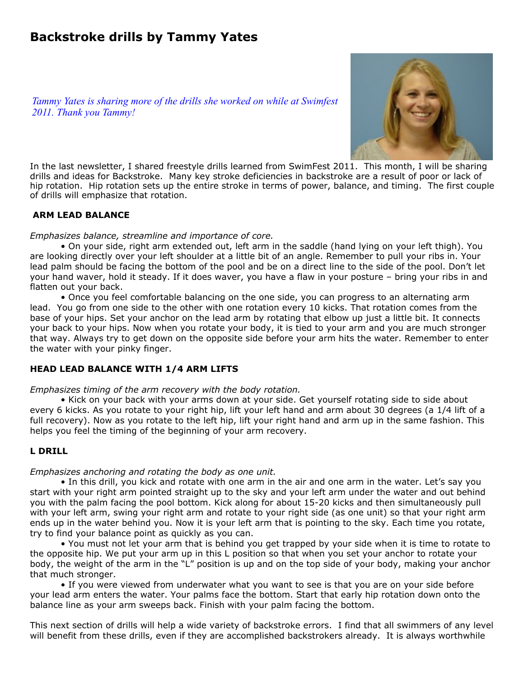# **Backstroke drills by Tammy Yates**

*Tammy Yates is sharing more of the drills she worked on while at Swimfest 2011. Thank you Tammy!*



In the last newsletter, I shared freestyle drills learned from SwimFest 2011. This month, I will be sharing drills and ideas for Backstroke. Many key stroke deficiencies in backstroke are a result of poor or lack of hip rotation. Hip rotation sets up the entire stroke in terms of power, balance, and timing. The first couple of drills will emphasize that rotation.

## **ARM LEAD BALANCE**

#### *Emphasizes balance, streamline and importance of core.*

• On your side, right arm extended out, left arm in the saddle (hand lying on your left thigh). You are looking directly over your left shoulder at a little bit of an angle. Remember to pull your ribs in. Your lead palm should be facing the bottom of the pool and be on a direct line to the side of the pool. Don't let your hand waver, hold it steady. If it does waver, you have a flaw in your posture – bring your ribs in and flatten out your back.

• Once you feel comfortable balancing on the one side, you can progress to an alternating arm lead. You go from one side to the other with one rotation every 10 kicks. That rotation comes from the base of your hips. Set your anchor on the lead arm by rotating that elbow up just a little bit. It connects your back to your hips. Now when you rotate your body, it is tied to your arm and you are much stronger that way. Always try to get down on the opposite side before your arm hits the water. Remember to enter the water with your pinky finger.

## **HEAD LEAD BALANCE WITH 1/4 ARM LIFTS**

#### *Emphasizes timing of the arm recovery with the body rotation.*

• Kick on your back with your arms down at your side. Get yourself rotating side to side about every 6 kicks. As you rotate to your right hip, lift your left hand and arm about 30 degrees (a 1/4 lift of a full recovery). Now as you rotate to the left hip, lift your right hand and arm up in the same fashion. This helps you feel the timing of the beginning of your arm recovery.

## **L DRILL**

## *Emphasizes anchoring and rotating the body as one unit.*

• In this drill, you kick and rotate with one arm in the air and one arm in the water. Let's say you start with your right arm pointed straight up to the sky and your left arm under the water and out behind you with the palm facing the pool bottom. Kick along for about 15-20 kicks and then simultaneously pull with your left arm, swing your right arm and rotate to your right side (as one unit) so that your right arm ends up in the water behind you. Now it is your left arm that is pointing to the sky. Each time you rotate, try to find your balance point as quickly as you can.

• You must not let your arm that is behind you get trapped by your side when it is time to rotate to the opposite hip. We put your arm up in this L position so that when you set your anchor to rotate your body, the weight of the arm in the "L" position is up and on the top side of your body, making your anchor that much stronger.

• If you were viewed from underwater what you want to see is that you are on your side before your lead arm enters the water. Your palms face the bottom. Start that early hip rotation down onto the balance line as your arm sweeps back. Finish with your palm facing the bottom.

This next section of drills will help a wide variety of backstroke errors. I find that all swimmers of any level will benefit from these drills, even if they are accomplished backstrokers already. It is always worthwhile